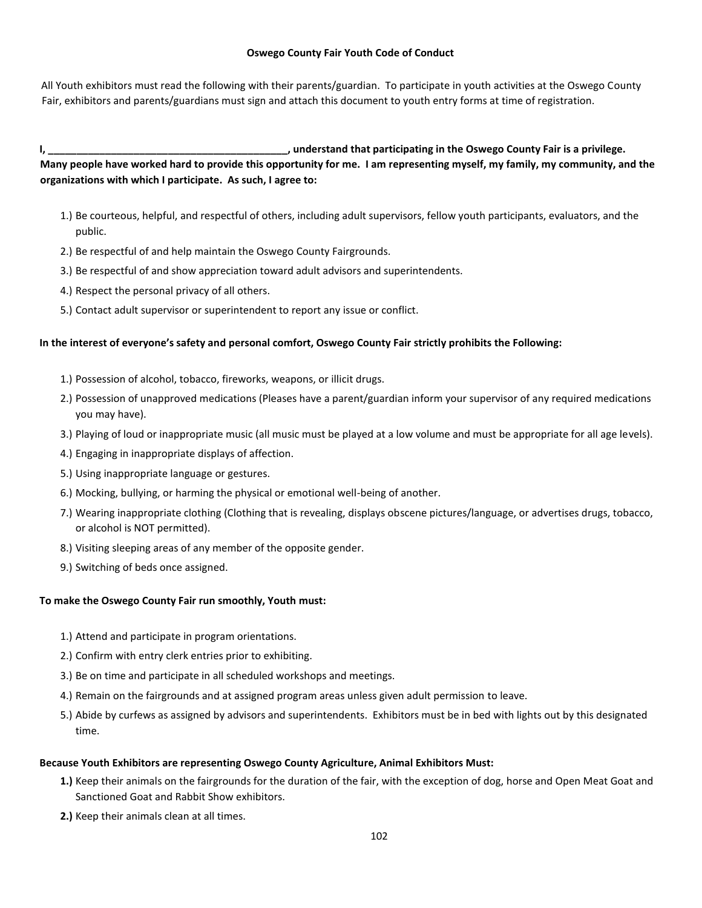#### **Oswego County Fair Youth Code of Conduct**

All Youth exhibitors must read the following with their parents/guardian. To participate in youth activities at the Oswego County Fair, exhibitors and parents/guardians must sign and attach this document to youth entry forms at time of registration.

# **I, \_\_\_\_\_\_\_\_\_\_\_\_\_\_\_\_\_\_\_\_\_\_\_\_\_\_\_\_\_\_\_\_\_\_\_\_\_\_\_\_\_\_, understand that participating in the Oswego County Fair is a privilege. Many people have worked hard to provide this opportunity for me. I am representing myself, my family, my community, and the organizations with which I participate. As such, I agree to:**

- 1.) Be courteous, helpful, and respectful of others, including adult supervisors, fellow youth participants, evaluators, and the public.
- 2.) Be respectful of and help maintain the Oswego County Fairgrounds.
- 3.) Be respectful of and show appreciation toward adult advisors and superintendents.
- 4.) Respect the personal privacy of all others.
- 5.) Contact adult supervisor or superintendent to report any issue or conflict.

#### **In the interest of everyone's safety and personal comfort, Oswego County Fair strictly prohibits the Following:**

- 1.) Possession of alcohol, tobacco, fireworks, weapons, or illicit drugs.
- 2.) Possession of unapproved medications (Pleases have a parent/guardian inform your supervisor of any required medications you may have).
- 3.) Playing of loud or inappropriate music (all music must be played at a low volume and must be appropriate for all age levels).
- 4.) Engaging in inappropriate displays of affection.
- 5.) Using inappropriate language or gestures.
- 6.) Mocking, bullying, or harming the physical or emotional well-being of another.
- 7.) Wearing inappropriate clothing (Clothing that is revealing, displays obscene pictures/language, or advertises drugs, tobacco, or alcohol is NOT permitted).
- 8.) Visiting sleeping areas of any member of the opposite gender.
- 9.) Switching of beds once assigned.

#### **To make the Oswego County Fair run smoothly, Youth must:**

- 1.) Attend and participate in program orientations.
- 2.) Confirm with entry clerk entries prior to exhibiting.
- 3.) Be on time and participate in all scheduled workshops and meetings.
- 4.) Remain on the fairgrounds and at assigned program areas unless given adult permission to leave.
- 5.) Abide by curfews as assigned by advisors and superintendents. Exhibitors must be in bed with lights out by this designated time.

#### **Because Youth Exhibitors are representing Oswego County Agriculture, Animal Exhibitors Must:**

- **1.)** Keep their animals on the fairgrounds for the duration of the fair, with the exception of dog, horse and Open Meat Goat and Sanctioned Goat and Rabbit Show exhibitors.
- **2.)** Keep their animals clean at all times.